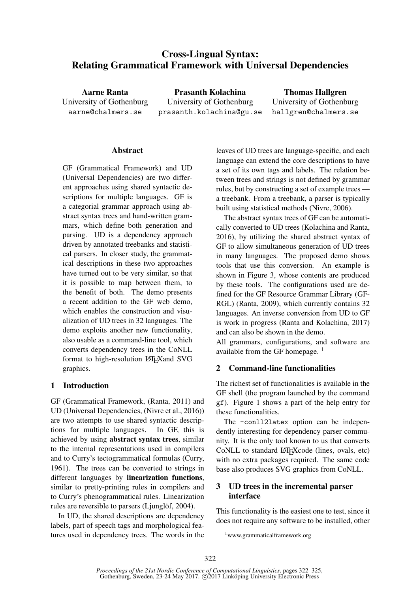# Cross-Lingual Syntax: Relating Grammatical Framework with Universal Dependencies

Aarne Ranta University of Gothenburg aarne@chalmers.se

Prasanth Kolachina University of Gothenburg prasanth.kolachina@gu.se

Thomas Hallgren University of Gothenburg hallgren@chalmers.se

#### Abstract

GF (Grammatical Framework) and UD (Universal Dependencies) are two different approaches using shared syntactic descriptions for multiple languages. GF is a categorial grammar approach using abstract syntax trees and hand-written grammars, which define both generation and parsing. UD is a dependency approach driven by annotated treebanks and statistical parsers. In closer study, the grammatical descriptions in these two approaches have turned out to be very similar, so that it is possible to map between them, to the benefit of both. The demo presents a recent addition to the GF web demo, which enables the construction and visualization of UD trees in 32 languages. The demo exploits another new functionality, also usable as a command-line tool, which converts dependency trees in the CoNLL format to high-resolution LATEX and SVG graphics.

### 1 Introduction

GF (Grammatical Framework, (Ranta, 2011) and UD (Universal Dependencies, (Nivre et al., 2016)) are two attempts to use shared syntactic descriptions for multiple languages. In GF, this is achieved by using abstract syntax trees, similar to the internal representations used in compilers and to Curry's tectogrammatical formulas (Curry, 1961). The trees can be converted to strings in different languages by linearization functions, similar to pretty-printing rules in compilers and to Curry's phenogrammatical rules. Linearization rules are reversible to parsers (Ljunglöf, 2004).

In UD, the shared descriptions are dependency labels, part of speech tags and morphological features used in dependency trees. The words in the leaves of UD trees are language-specific, and each language can extend the core descriptions to have a set of its own tags and labels. The relation between trees and strings is not defined by grammar rules, but by constructing a set of example trees a treebank. From a treebank, a parser is typically built using statistical methods (Nivre, 2006).

The abstract syntax trees of GF can be automatically converted to UD trees (Kolachina and Ranta, 2016), by utilizing the shared abstract syntax of GF to allow simultaneous generation of UD trees in many languages. The proposed demo shows tools that use this conversion. An example is shown in Figure 3, whose contents are produced by these tools. The configurations used are defined for the GF Resource Grammar Library (GF-RGL) (Ranta, 2009), which currently contains 32 languages. An inverse conversion from UD to GF is work in progress (Ranta and Kolachina, 2017) and can also be shown in the demo.

All grammars, configurations, and software are available from the GF homepage.<sup>1</sup>

## 2 Command-line functionalities

The richest set of functionalities is available in the GF shell (the program launched by the command gf). Figure 1 shows a part of the help entry for these functionalities.

The -conll2latex option can be independently interesting for dependency parser community. It is the only tool known to us that converts CoNLL to standard LATEXcode (lines, ovals, etc) with no extra packages required. The same code base also produces SVG graphics from CoNLL.

## 3 UD trees in the incremental parser interface

This functionality is the easiest one to test, since it does not require any software to be installed, other

<sup>1</sup>www.grammaticalframework.org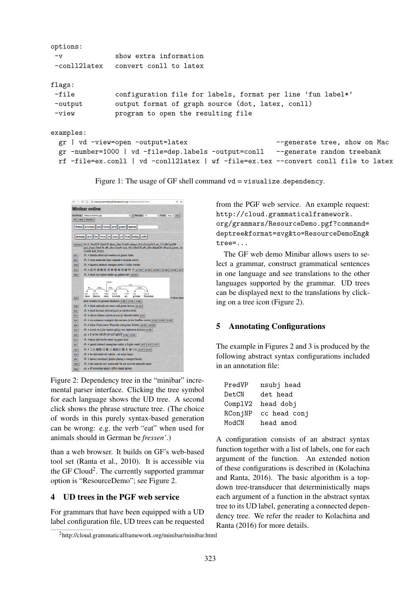```
options:
 -v show extra information
-conll2latex convert conll to latex
flags:
-file configuration file for labels, format per line 'fun label*'
-output output format of graph source (dot, latex, conll)
-view program to open the resulting file
examples:
 gr | vd -view=open -output=latex --generate tree, show on Mac
 gr -number=1000 | vd -file=dep.labels -output=conll --generate random treebank
 rf -file=ex.conll | vd -conll2latex | wf -file=ex.tex --convert conll file to latex
```
Figure 1: The usage of GF shell command  $vd = \text{visualize\_dependency}$ .

 $\leftarrow$   $\rightarrow$   $\circlearrowleft$   $\circlearrowright$   $\circlearrowright$  cloud.grammaticalframework.org/minibar/minibar.html **Minibar online** : | | | | | | | | Startcat: | | | CI  $\frac{1}{2}$  From: Eng  $\frac{1}{2}$  To:  $\Big|$ . Grammar: ResourceDem these animals eat roots and green leaves already and far here in now or that today with Abstract | ALGE PredVP (DetCN these\_Det (UseN animal\_N)) (Compl<br/>V2 cat\_V2 (RConjNP and\_Conj (DetCN aPl\_Det (UseN root\_N)) (DetCN aPl\_Det (ModCN (PositA gree (UseN leaf<br/>\_N))))) <br>  $\label{eq:2.1} \begin{array}{lll} \mbox{A6.2} & \mbox{A8.$ въ ▶ тези животни ядат корени и зелени листа  $s^2$  > aquests animals mengen arrels i fulles verdes & ▶这些动物吃些树根和些绿叶子 zh-TW | zh-HK | zh-CN | zh-CN | zh-HK | zh-T  $\begin{tabular}{|c|} \hline \hline \textbf{Chi} \\ \hline \textbf{Dan} \\ \hline \end{tabular}$  $\mathcal{E}_8$   $\rightarrow$  disse dyr spiser røder og grønne løv  $\frac{1}{\text{ds}-\text{DK}}$  $\overbrace{\hspace{40pt}}^{\text{tsubj}}$  $VERB$  NOUN CONT<br>
eten wortels en DET NOUN  $Out$ oeze oneren eten wortets en groene<br>
eten wortels en groene bladeren  $n\cdot 18E \mid n\cdot 18E \mid n\cdot 18E$ <br>  $\ell^R$ ,  $\blacktriangleright$  these animals eat roots and green leaves  $\frac{n\cdot 195}{2}$ <br>  $\ell^R$ ,  $\blacktriangleright$  need loomad söövad juuri ja rohelis  $\begin{tabular}{c|c} \hline \text{Eng} \\ \hline \text{Est} \end{tabular}$  $\mathcal{E}_h$  > nämä eläimet syövät juuria ja vihreitä lehtiä  $n-r$  $x^2$ . Ces animaux mangent des racines et des feuilles vertes tr-ca | tr-FR | tr-FR |  $\begin{tabular}{|c|c|} \hline \text{Ger} \\ \hline \text{Gre} \\ \hline \end{tabular}$ La → diese Tiere essen Wurzeln und grüne Blätter de-DE | de-DE |  $k$  a value that essent watching plane that there were posed<br>  $k$  > αυτά τα ζώα τρώνε ρίζες και πράσινα φύλλα el-on posed watch that and  $\frac{1}{k}$  mink  $\mathcal{E}_b$   $\blacktriangleright$  þessi dýr borða rætur og græn lauf $\mathcal{E}_b$   $\blacktriangleright$ questi animali mangiano radici e foglie verdi $\left\| \alpha \right\| \left\| \left\| \alpha \right\| \right\|$ A → この動物は根と録色の葉を食べる ja-JP | ja-JP  $\mathcal{E}_k$   $\blacktriangleright$ šie dzīvnieki ēd saknes , un zaļas lapas  $\lambda$ ь dawn l-annimali jieklu qheruq u werqiet hodor<br> $\lambda$ ь > dawn l-annimali jieklu qheruq u werqiet hodor ४% ▶ यी जनावारहरु जडहरु र हरिया पातहरु खान्छन्

Figure 2: Dependency tree in the "minibar" incremental parser interface. Clicking the tree symbol for each language shows the UD tree. A second click shows the phrase structure tree. (The choice of words in this purely syntax-based generation can be wrong: e.g. the verb "eat" when used for animals should in German be *fressen'*.)

than a web browser. It builds on GF's web-based tool set (Ranta et al., 2010). It is accessible via the GF Cloud<sup>2</sup>. The currently supported grammar option is "ResourceDemo"; see Figure 2.

### 4 UD trees in the PGF web service

For grammars that have been equipped with a UD label configuration file, UD trees can be requested from the PGF web service. An example request: http://cloud.grammaticalframework. org/grammars/ResourceDemo.pgf?command= deptree&format=svg&to=ResourceDemoEng& tree=...

The GF web demo Minibar allows users to select a grammar, construct grammatical sentences in one language and see translations to the other languages supported by the grammar. UD trees can be displayed next to the translations by clicking on a tree icon (Figure 2).

### 5 Annotating Configurations

The example in Figures 2 and 3 is produced by the following abstract syntax configurations included in an annotation file:

| PredVP  | nsubj head   |
|---------|--------------|
| DetCN   | det head     |
| ComplV2 | head dobj    |
| RConjNP | cc head conj |
| ModCN   | head amod    |

A configuration consists of an abstract syntax function together with a list of labels, one for each argument of the function. An extended notion of these configurations is described in (Kolachina and Ranta, 2016). The basic algorithm is a topdown tree-transducer that deterministically maps each argument of a function in the abstract syntax tree to its UD label, generating a connected dependency tree. We refer the reader to Kolachina and Ranta (2016) for more details.

<sup>2</sup>http://cloud.grammaticalframework.org/minibar/minibar.html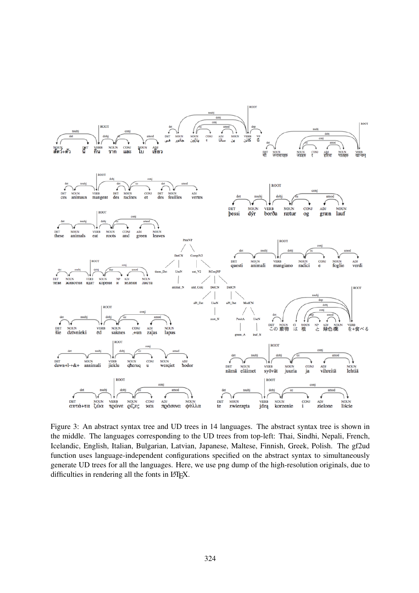

Figure 3: An abstract syntax tree and UD trees in 14 languages. The abstract syntax tree is shown in the middle. The languages corresponding to the UD trees from top-left: Thai, Sindhi, Nepali, French, Icelandic, English, Italian, Bulgarian, Latvian, Japanese, Maltese, Finnish, Greek, Polish. The gf2ud function uses language-independent configurations specified on the abstract syntax to simultaneously generate UD trees for all the languages. Here, we use png dump of the high-resolution originals, due to difficulties in rendering all the fonts in LAT<sub>E</sub>X.